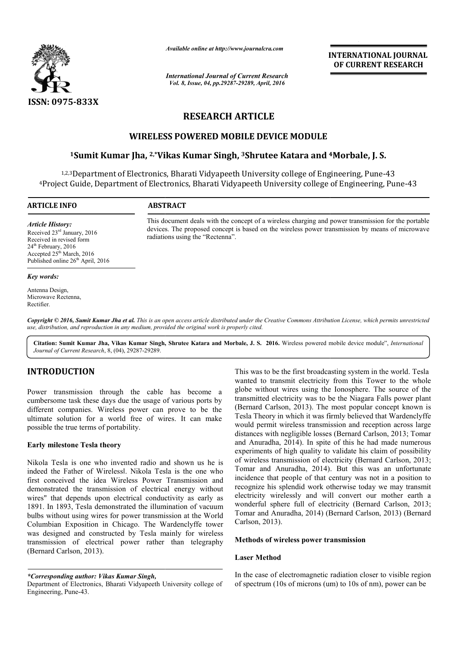

*Available online at http://www.journalcra.com*

*International Journal of Current Research Vol. 8, Issue, 04, pp.29287-29289, April, 2016*

**INTERNATIONAL JOURNAL OF CURRENT RESEARCH** 

# **RESEARCH ARTICLE**

# **WIRELESS POWERED MOBILE DEVICE MODULE**

# **1Sumit Kumar Jha, 2,\*Vikas Kumar Singh, Vikas 3Shrutee Katara and 4 4Morbale, J. S.**

1,2,3Department of Electronics, Bharati Vidyapeeth University college of Engineering, Pune-43 4Project Guide, Department of Electronics, Bharati Vidyapeeth University college of Engineering, Pune Department of Electronics, Bharati Vidyapee<br>Guide, Department of Electronics, Bharati Vio<br>——————————————————— college of Engineering, Pune-43

**ARTICLE INFO ABSTRACT**

*Article History:* Received 23rd January, 2016 Received in revised form 24<sup>th</sup> February, 2016 Accepted 25<sup>th</sup> March, 2016 Published online 26<sup>th</sup> April, 2016

#### *Key words:*

Antenna Design, Microwave Rectenna, Rectifier.

This document deals with the concept of a wireless charging and power transmission for the portable devices. The proposed concept is based on the wireless power transmission by means of microwave devices. The radiations using the "Rectenna".

Copyright © 2016, Sumit Kumar Jha et al. This is an open access article distributed under the Creative Commons Attribution License, which permits unrestricted *use, distribution, and reproduction in any medium, provided the original work is properly cited.*

Citation: Sumit Kumar Jha, Vikas Kumar Singh, Shrutee Katara and Morbale, J. S. 2016. Wireless powered mobile device module", *International Journal of Current Research*, 8, (04), 29287-29289.

# **INTRODUCTION**

Power transmission through the cable has become a cumbersome task these days due the usage of various ports by different companies. Wireless power can prove to be the ultimate solution for a world free of wires. It can make possible the true terms of portability.

## **Early milestone Tesla theory**

Nikola Tesla is one who invented radio and shown us he is indeed the Father of Wireless‖. Nikola Tesla is the one who indeed the Father of Wirelessl. Nikola Tesla is the one who first conceived the idea Wireless Power Transmission and demonstrated the transmission of electrical energy without wires" that depends upon electrical conductivity as early as 1891. In 1893, Tesla demonstrated the illumination of vacuum bulbs without using wires for power transmission at the World Columbian Exposition in Chicago. The Wardenclyffe tower was designed and constructed by Tesla mainly for wireless transmission of electrical power rather than telegraphy (Bernard Carlson, 2013).

*\*Corresponding author: Vikas Kumar Singh,*

This was to be the first broadcasting system in the world. Tesla wanted to transmit electricity from this Tower to the whole globe without wires using the Ionosphere. The s transmitted electricity was to be the Niagara Falls power plant (Bernard Carlson, 2013). The most popular concept known is Tesla Theory in which it was firmly believed that Wardenclyffe would permit wireless transmission and reception across large distances with negligible losses (Bernard Carlson, 2013; Tomar and Anuradha, 2014). In spite of this he had made numerous experiments of high quality to validate his claim of possibility of wireless transmission of electricity (Bernard Carlson, 2013; Tomar and Anuradha, 2014). But this was an unfortunate incidence that people of that century was not in a position to recognize his splendid work otherwise today we may transmit electricity wirelessly and will convert our mother earth a wonderful sphere full of electricity (Bernard Carlson, 2013; Tomar and Anuradha, 2014) (Bernard Carlson, 2013) (Bernard Carlson, 2013). was to be the first broadcasting system in the world. Tesla<br>ed to transmit electricity from this Tower to the whole<br>e without wires using the Ionosphere. The source of the transmitted electricity was to be the Niagara Falls power plant (Bernard Carlson, 2013). The most popular concept known is Tesla Theory in which it was firmly believed that Wardenclyffe would permit wireless transmission a . In spite of this he had made numerous<br>quality to validate his claim of possibility<br>ion of electricity (Bernard Carlson, 2013; d Anuradha, 2014). But this was an unfortunate that people of that century was not in a position to his splendid work otherwise today we may transmit wirelessly and will convert our mother earth a sphere full of electricit **INTERNATIONAL JOURNAL**<br> **OF CURRENT RESEARCH**<br> **OF CURRENT RESEARCH**<br> **CONTAL CONTAL SCALA CONTAL CONTAMELAT CONTAMELAT CONTAMELATION**<br> **CONTAMELAT SCALA CONTAMELATION**<br> **EXECUTE THEORY CONTAMELATION**<br> **EXECUTE THEORY CON** 

## **Methods of wireless power transmission transmission**

### **Laser Method**

In the case of electromagnetic radiation closer to visible region of spectrum (10s of microns (um) to 10s of nm), power can be

Department of Electronics, Bharati Vidyapeeth University college of Engineering, Pune-43.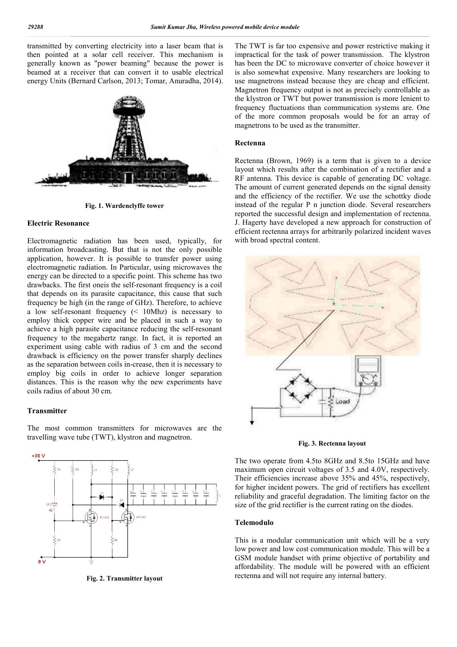transmitted by converting electricity into a laser beam that is then pointed at a solar cell receiver. This mechanism is generally known as "power beaming" because the power is beamed at a receiver that can convert it to usable electrical energy Units (Bernard Carlson, 2013; Tomar, Anuradha, 2014).



**Fig. 1. Wardenclyffe tower**

#### **Electric Resonance**

Electromagnetic radiation has been used, typically, for information broadcasting. But that is not the only possible application, however. It is possible to transfer power using electromagnetic radiation. In Particular, using microwaves the energy can be directed to a specific point. This scheme has two drawbacks. The first oneis the self-resonant frequency is a coil that depends on its parasite capacitance, this cause that such frequency be high (in the range of GHz). Therefore, to achieve a low self-resonant frequency (< 10Mhz) is necessary to employ thick copper wire and be placed in such a way to achieve a high parasite capacitance reducing the self-resonant frequency to the megahertz range. In fact, it is reported an experiment using cable with radius of 3 cm and the second drawback is efficiency on the power transfer sharply declines as the separation between coils in-crease, then it is necessary to employ big coils in order to achieve longer separation distances. This is the reason why the new experiments have coils radius of about 30 cm.

## **Transmitter**

The most common transmitters for microwaves are the travelling wave tube (TWT), klystron and magnetron.



**Fig. 2. Transmitter layout**

The TWT is far too expensive and power restrictive making it impractical for the task of power transmission. The klystron has been the DC to microwave converter of choice however it is also somewhat expensive. Many researchers are looking to use magnetrons instead because they are cheap and efficient. Magnetron frequency output is not as precisely controllable as the klystron or TWT but power transmission is more lenient to frequency fluctuations than communication systems are. One of the more common proposals would be for an array of magnetrons to be used as the transmitter.

#### **Rectenna**

Rectenna (Brown, 1969) is a term that is given to a device layout which results after the combination of a rectifier and a RF antenna. This device is capable of generating DC voltage. The amount of current generated depends on the signal density and the efficiency of the rectifier. We use the schottky diode instead of the regular P n junction diode. Several researchers reported the successful design and implementation of rectenna. J. Hagerty have developed a new approach for construction of efficient rectenna arrays for arbitrarily polarized incident waves with broad spectral content.



**Fig. 3. Rectenna layout**

The two operate from 4.5to 8GHz and 8.5to 15GHz and have maximum open circuit voltages of 3.5 and 4.0V, respectively. Their efficiencies increase above 35% and 45%, respectively, for higher incident powers. The grid of rectifiers has excellent reliability and graceful degradation. The limiting factor on the size of the grid rectifier is the current rating on the diodes.

#### **Telemodulo**

This is a modular communication unit which will be a very low power and low cost communication module. This will be a GSM module handset with prime objective of portability and affordability. The module will be powered with an efficient rectenna and will not require any internal battery.